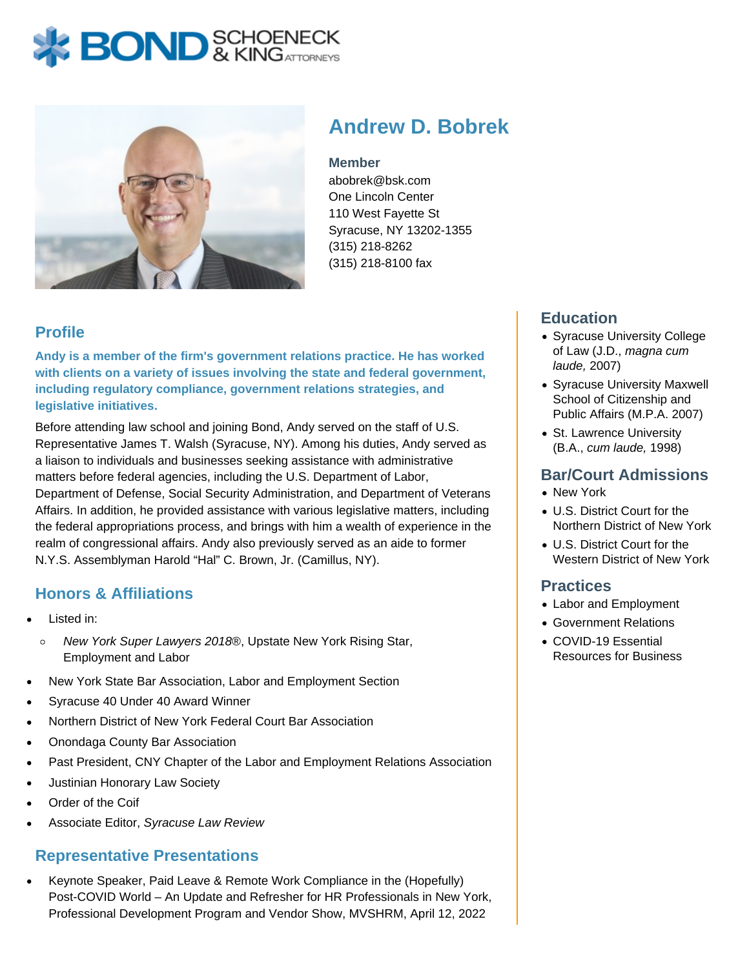# **BOND** SCHOENECK



# **Andrew D. Bobrek**

#### **Member**

abobrek@bsk.com One Lincoln Center 110 West Fayette St Syracuse, NY 13202-1355 (315) 218-8262 (315) 218-8100 fax

## **Profile**

**Andy is a member of the firm's government relations practice. He has worked with clients on a variety of issues involving the state and federal government, including regulatory compliance, government relations strategies, and legislative initiatives.**

Before attending law school and joining Bond, Andy served on the staff of U.S. Representative James T. Walsh (Syracuse, NY). Among his duties, Andy served as a liaison to individuals and businesses seeking assistance with administrative matters before federal agencies, including the U.S. Department of Labor, Department of Defense, Social Security Administration, and Department of Veterans Affairs. In addition, he provided assistance with various legislative matters, including the federal appropriations process, and brings with him a wealth of experience in the realm of congressional affairs. Andy also previously served as an aide to former N.Y.S. Assemblyman Harold "Hal" C. Brown, Jr. (Camillus, NY).

## **Honors & Affiliations**

- Listed in:
- New York Super Lawyers 2018®, Upstate New York Rising Star,  $\circ$ Employment and Labor
- New York State Bar Association, Labor and Employment Section
- Syracuse 40 Under 40 Award Winner
- Northern District of New York Federal Court Bar Association
- Onondaga County Bar Association
- Past President, CNY Chapter of the Labor and Employment Relations Association
- Justinian Honorary Law Society
- Order of the Coif
- Associate Editor, Syracuse Law Review

## **Representative Presentations**

Keynote Speaker, Paid Leave & Remote Work Compliance in the (Hopefully) Post-COVID World – An Update and Refresher for HR Professionals in New York, Professional Development Program and Vendor Show, MVSHRM, April 12, 2022

## **Education**

- Syracuse University College of Law (J.D., magna cum laude, 2007)
- Syracuse University Maxwell School of Citizenship and Public Affairs (M.P.A. 2007)
- St. Lawrence University (B.A., cum laude, 1998)

#### **Bar/Court Admissions**

- New York
- U.S. District Court for the Northern District of New York
- U.S. District Court for the Western District of New York

#### **Practices**

- Labor and Employment
- Government Relations
- COVID-19 Essential Resources for Business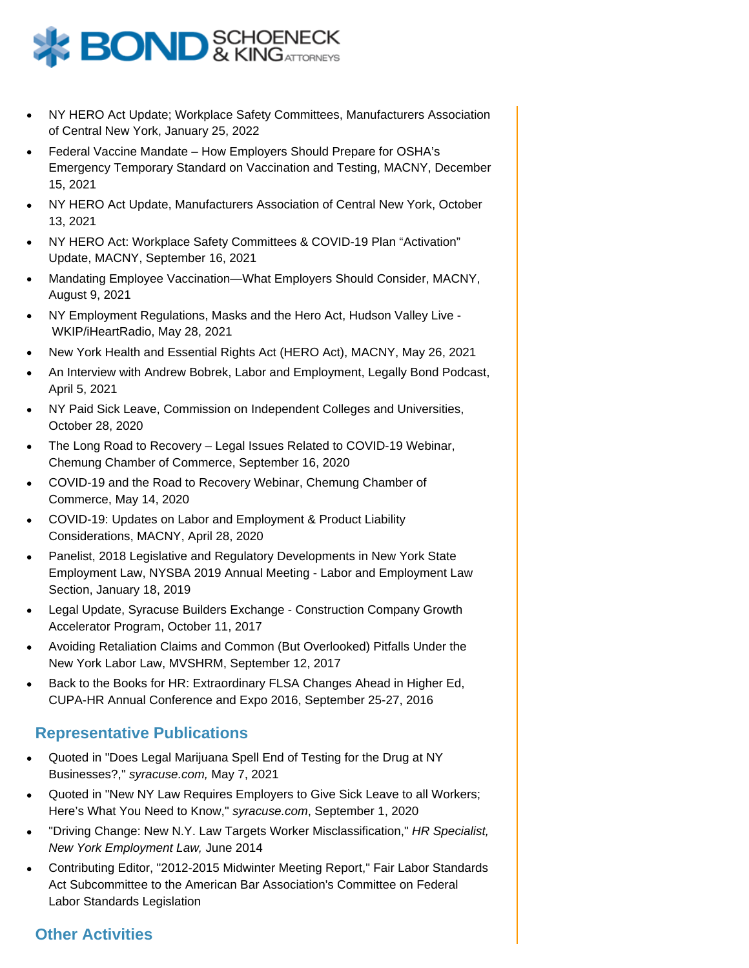

- NY HERO Act Update; Workplace Safety Committees, Manufacturers Association of Central New York, January 25, 2022
- Federal Vaccine Mandate How Employers Should Prepare for OSHA's Emergency Temporary Standard on Vaccination and Testing, MACNY, December 15, 2021
- NY HERO Act Update, Manufacturers Association of Central New York, October 13, 2021
- NY HERO Act: Workplace Safety Committees & COVID-19 Plan "Activation" Update, MACNY, September 16, 2021
- Mandating Employee Vaccination—What Employers Should Consider, MACNY, August 9, 2021
- NY Employment Regulations, Masks and the Hero Act, Hudson Valley Live WKIP/iHeartRadio, May 28, 2021
- New York Health and Essential Rights Act (HERO Act), MACNY, May 26, 2021
- An Interview with Andrew Bobrek, Labor and Employment, Legally Bond Podcast, April 5, 2021
- NY Paid Sick Leave, Commission on Independent Colleges and Universities, October 28, 2020
- The Long Road to Recovery Legal Issues Related to COVID-19 Webinar, Chemung Chamber of Commerce, September 16, 2020
- COVID-19 and the Road to Recovery Webinar, Chemung Chamber of Commerce, May 14, 2020
- COVID-19: Updates on Labor and Employment & Product Liability Considerations, MACNY, April 28, 2020
- Panelist, 2018 Legislative and Regulatory Developments in New York State Employment Law, NYSBA 2019 Annual Meeting - Labor and Employment Law Section, January 18, 2019
- Legal Update, Syracuse Builders Exchange Construction Company Growth Accelerator Program, October 11, 2017
- Avoiding Retaliation Claims and Common (But Overlooked) Pitfalls Under the New York Labor Law, MVSHRM, September 12, 2017
- Back to the Books for HR: Extraordinary FLSA Changes Ahead in Higher Ed, CUPA-HR Annual Conference and Expo 2016, September 25-27, 2016

#### **Representative Publications**

- Quoted in "Does Legal Marijuana Spell End of Testing for the Drug at NY Businesses?," syracuse.com, May 7, 2021
- Quoted in "New NY Law Requires Employers to Give Sick Leave to all Workers; Here's What You Need to Know," syracuse.com, September 1, 2020
- "Driving Change: New N.Y. Law Targets Worker Misclassification," HR Specialist, New York Employment Law, June 2014
- Contributing Editor, "2012-2015 Midwinter Meeting Report," Fair Labor Standards Act Subcommittee to the American Bar Association's Committee on Federal Labor Standards Legislation

#### **Other Activities**